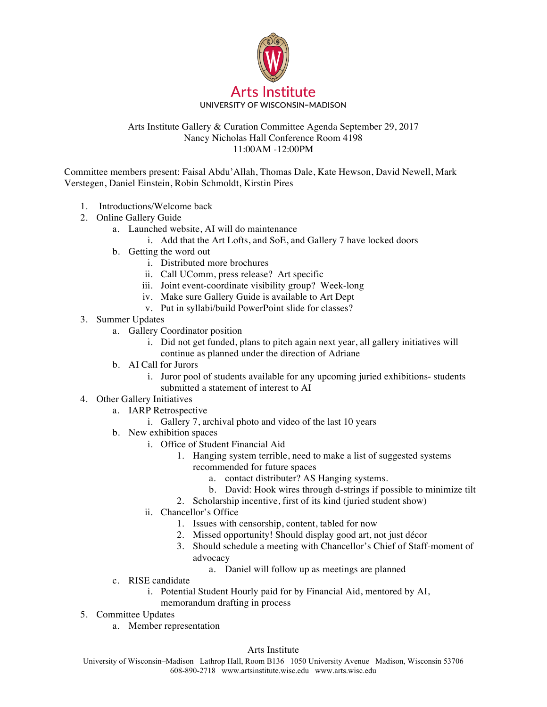

## Arts Institute Gallery & Curation Committee Agenda September 29, 2017 Nancy Nicholas Hall Conference Room 4198 11:00AM -12:00PM

Committee members present: Faisal Abdu'Allah, Thomas Dale, Kate Hewson, David Newell, Mark Verstegen, Daniel Einstein, Robin Schmoldt, Kirstin Pires

- 1. Introductions/Welcome back
- 2. Online Gallery Guide
	- a. Launched website, AI will do maintenance
		- i. Add that the Art Lofts, and SoE, and Gallery 7 have locked doors
		- b. Getting the word out
			- i. Distributed more brochures
			- ii. Call UComm, press release? Art specific
			- iii. Joint event-coordinate visibility group? Week-long
			- iv. Make sure Gallery Guide is available to Art Dept
			- v. Put in syllabi/build PowerPoint slide for classes?
- 3. Summer Updates
	- a. Gallery Coordinator position
		- i. Did not get funded, plans to pitch again next year, all gallery initiatives will continue as planned under the direction of Adriane
	- b. AI Call for Jurors
		- i. Juror pool of students available for any upcoming juried exhibitions- students submitted a statement of interest to AI
- 4. Other Gallery Initiatives
	- a. IARP Retrospective
		- i. Gallery 7, archival photo and video of the last 10 years
	- b. New exhibition spaces
		- i. Office of Student Financial Aid
			- 1. Hanging system terrible, need to make a list of suggested systems recommended for future spaces
				- a. contact distributer? AS Hanging systems.
				- b. David: Hook wires through d-strings if possible to minimize tilt
			- 2. Scholarship incentive, first of its kind (juried student show)
		- ii. Chancellor's Office
			- 1. Issues with censorship, content, tabled for now
			- 2. Missed opportunity! Should display good art, not just décor
			- 3. Should schedule a meeting with Chancellor's Chief of Staff-moment of advocacy
				- a. Daniel will follow up as meetings are planned
	- c. RISE candidate
		- i. Potential Student Hourly paid for by Financial Aid, mentored by AI,
		- memorandum drafting in process
- 5. Committee Updates
	- a. Member representation

## Arts Institute

University of Wisconsin–Madison Lathrop Hall, Room B136 1050 University Avenue Madison, Wisconsin 53706 608-890-2718 www.artsinstitute.wisc.edu www.arts.wisc.edu